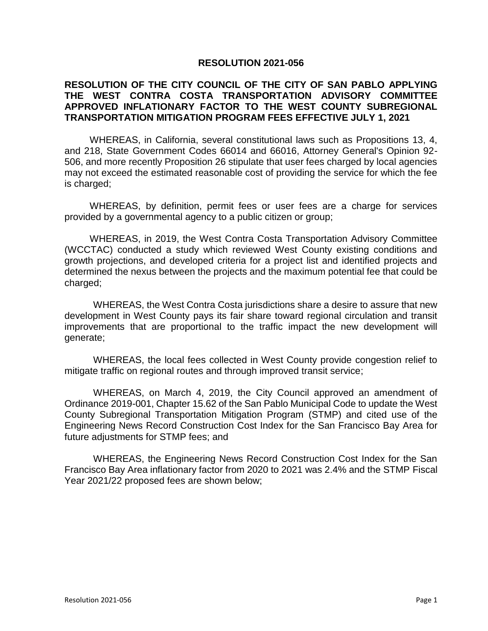## **RESOLUTION 2021-056**

## **RESOLUTION OF THE CITY COUNCIL OF THE CITY OF SAN PABLO APPLYING THE WEST CONTRA COSTA TRANSPORTATION ADVISORY COMMITTEE APPROVED INFLATIONARY FACTOR TO THE WEST COUNTY SUBREGIONAL TRANSPORTATION MITIGATION PROGRAM FEES EFFECTIVE JULY 1, 2021**

WHEREAS, in California, several constitutional laws such as Propositions 13, 4, and 218, State Government Codes 66014 and 66016, Attorney General's Opinion 92- 506, and more recently Proposition 26 stipulate that user fees charged by local agencies may not exceed the estimated reasonable cost of providing the service for which the fee is charged;

WHEREAS, by definition, permit fees or user fees are a charge for services provided by a governmental agency to a public citizen or group;

WHEREAS, in 2019, the West Contra Costa Transportation Advisory Committee (WCCTAC) conducted a study which reviewed West County existing conditions and growth projections, and developed criteria for a project list and identified projects and determined the nexus between the projects and the maximum potential fee that could be charged;

WHEREAS, the West Contra Costa jurisdictions share a desire to assure that new development in West County pays its fair share toward regional circulation and transit improvements that are proportional to the traffic impact the new development will generate;

WHEREAS, the local fees collected in West County provide congestion relief to mitigate traffic on regional routes and through improved transit service;

WHEREAS, on March 4, 2019, the City Council approved an amendment of Ordinance 2019-001, Chapter 15.62 of the San Pablo Municipal Code to update the West County Subregional Transportation Mitigation Program (STMP) and cited use of the Engineering News Record Construction Cost Index for the San Francisco Bay Area for future adjustments for STMP fees; and

WHEREAS, the Engineering News Record Construction Cost Index for the San Francisco Bay Area inflationary factor from 2020 to 2021 was 2.4% and the STMP Fiscal Year 2021/22 proposed fees are shown below;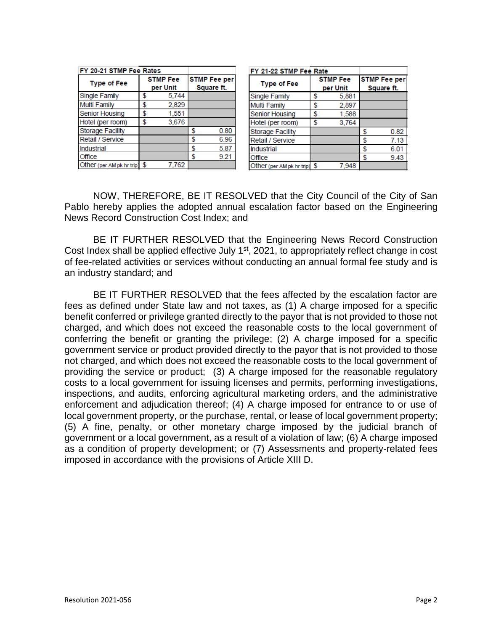| FY 20-21 STMP Fee Rates   |                             |       |                                   |      |
|---------------------------|-----------------------------|-------|-----------------------------------|------|
| <b>Type of Fee</b>        | <b>STMP Fee</b><br>per Unit |       | <b>STMP Fee per</b><br>Square ft. |      |
| <b>Single Family</b>      | S                           | 5,744 |                                   |      |
| <b>Multi Family</b>       | \$                          | 2,829 |                                   |      |
| <b>Senior Housing</b>     | \$                          | 1,551 |                                   |      |
| Hotel (per room)          | \$                          | 3,676 |                                   |      |
| <b>Storage Facility</b>   |                             |       | \$                                | 0.80 |
| Retail / Service          |                             |       | \$                                | 6.96 |
| <b>Industrial</b>         |                             |       | \$                                | 5.87 |
| Office                    |                             |       | \$                                | 9.21 |
| Other (per AM pk hr trip) | \$                          | 7.762 |                                   |      |

| FY 21-22 STMP Fee Rate    |                 |       |                     |      |
|---------------------------|-----------------|-------|---------------------|------|
| <b>Type of Fee</b>        | <b>STMP Fee</b> |       | <b>STMP Fee per</b> |      |
|                           | per Unit        |       | Square ft.          |      |
| <b>Single Family</b>      | S               | 5.881 |                     |      |
| <b>Multi Family</b>       | \$              | 2.897 |                     |      |
| <b>Senior Housing</b>     | \$              | 1,588 |                     |      |
| Hotel (per room)          | \$              | 3,764 |                     |      |
| <b>Storage Facility</b>   |                 |       | \$                  | 0.82 |
| Retail / Service          |                 |       | \$                  | 7.13 |
| Industrial                |                 |       | \$                  | 6.01 |
| Office                    |                 |       | \$                  | 9.43 |
| Other (per AM pk hr trip) | \$              | 7.948 |                     |      |

NOW, THEREFORE, BE IT RESOLVED that the City Council of the City of San Pablo hereby applies the adopted annual escalation factor based on the Engineering News Record Construction Cost Index; and

BE IT FURTHER RESOLVED that the Engineering News Record Construction Cost Index shall be applied effective July 1<sup>st</sup>, 2021, to appropriately reflect change in cost of fee-related activities or services without conducting an annual formal fee study and is an industry standard; and

BE IT FURTHER RESOLVED that the fees affected by the escalation factor are fees as defined under State law and not taxes, as (1) A charge imposed for a specific benefit conferred or privilege granted directly to the payor that is not provided to those not charged, and which does not exceed the reasonable costs to the local government of conferring the benefit or granting the privilege; (2) A charge imposed for a specific government service or product provided directly to the payor that is not provided to those not charged, and which does not exceed the reasonable costs to the local government of providing the service or product; (3) A charge imposed for the reasonable regulatory costs to a local government for issuing licenses and permits, performing investigations, inspections, and audits, enforcing agricultural marketing orders, and the administrative enforcement and adjudication thereof; (4) A charge imposed for entrance to or use of local government property, or the purchase, rental, or lease of local government property; (5) A fine, penalty, or other monetary charge imposed by the judicial branch of government or a local government, as a result of a violation of law; (6) A charge imposed as a condition of property development; or (7) Assessments and property-related fees imposed in accordance with the provisions of Article XIII D.